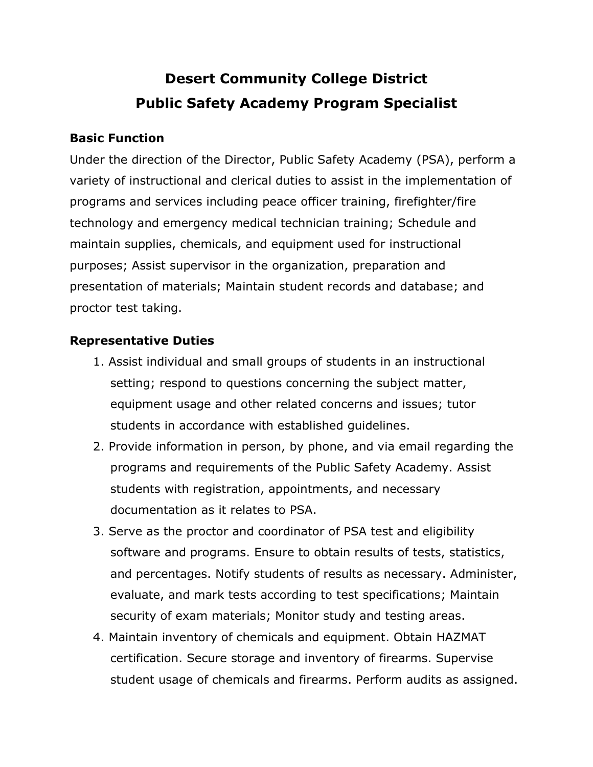# **Desert Community College District Public Safety Academy Program Specialist**

## **Basic Function**

Under the direction of the Director, Public Safety Academy (PSA), perform a variety of instructional and clerical duties to assist in the implementation of programs and services including peace officer training, firefighter/fire technology and emergency medical technician training; Schedule and maintain supplies, chemicals, and equipment used for instructional purposes; Assist supervisor in the organization, preparation and presentation of materials; Maintain student records and database; and proctor test taking.

## **Representative Duties**

- 1. Assist individual and small groups of students in an instructional setting; respond to questions concerning the subject matter, equipment usage and other related concerns and issues; tutor students in accordance with established guidelines.
- 2. Provide information in person, by phone, and via email regarding the programs and requirements of the Public Safety Academy. Assist students with registration, appointments, and necessary documentation as it relates to PSA.
- 3. Serve as the proctor and coordinator of PSA test and eligibility software and programs. Ensure to obtain results of tests, statistics, and percentages. Notify students of results as necessary. Administer, evaluate, and mark tests according to test specifications; Maintain security of exam materials; Monitor study and testing areas.
- 4. Maintain inventory of chemicals and equipment. Obtain HAZMAT certification. Secure storage and inventory of firearms. Supervise student usage of chemicals and firearms. Perform audits as assigned.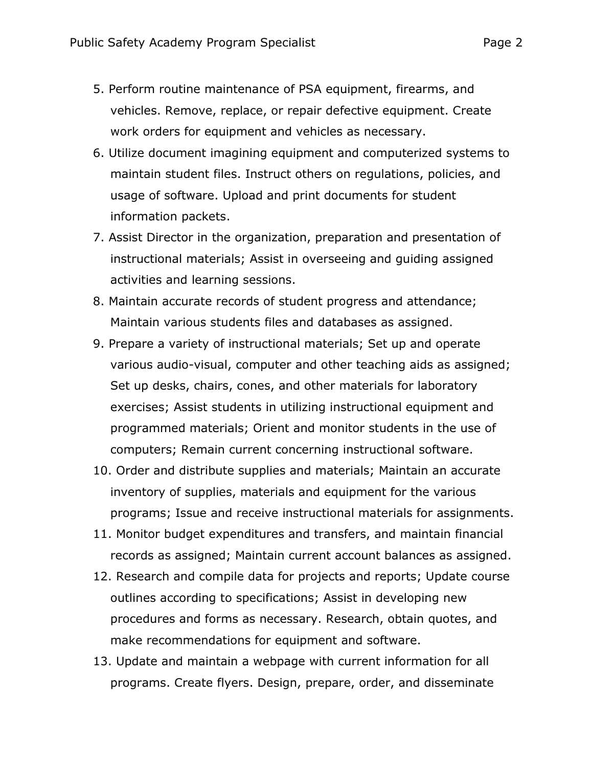- 5. Perform routine maintenance of PSA equipment, firearms, and vehicles. Remove, replace, or repair defective equipment. Create work orders for equipment and vehicles as necessary.
- 6. Utilize document imagining equipment and computerized systems to maintain student files. Instruct others on regulations, policies, and usage of software. Upload and print documents for student information packets.
- 7. Assist Director in the organization, preparation and presentation of instructional materials; Assist in overseeing and guiding assigned activities and learning sessions.
- 8. Maintain accurate records of student progress and attendance; Maintain various students files and databases as assigned.
- 9. Prepare a variety of instructional materials; Set up and operate various audio-visual, computer and other teaching aids as assigned; Set up desks, chairs, cones, and other materials for laboratory exercises; Assist students in utilizing instructional equipment and programmed materials; Orient and monitor students in the use of computers; Remain current concerning instructional software.
- 10. Order and distribute supplies and materials; Maintain an accurate inventory of supplies, materials and equipment for the various programs; Issue and receive instructional materials for assignments.
- 11. Monitor budget expenditures and transfers, and maintain financial records as assigned; Maintain current account balances as assigned.
- 12. Research and compile data for projects and reports; Update course outlines according to specifications; Assist in developing new procedures and forms as necessary. Research, obtain quotes, and make recommendations for equipment and software.
- 13. Update and maintain a webpage with current information for all programs. Create flyers. Design, prepare, order, and disseminate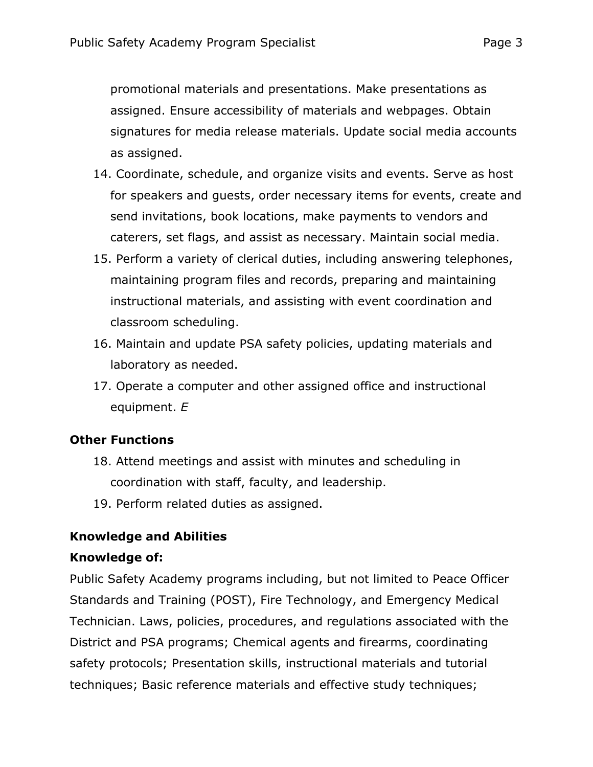promotional materials and presentations. Make presentations as assigned. Ensure accessibility of materials and webpages. Obtain signatures for media release materials. Update social media accounts as assigned.

- 14. Coordinate, schedule, and organize visits and events. Serve as host for speakers and guests, order necessary items for events, create and send invitations, book locations, make payments to vendors and caterers, set flags, and assist as necessary. Maintain social media.
- 15. Perform a variety of clerical duties, including answering telephones, maintaining program files and records, preparing and maintaining instructional materials, and assisting with event coordination and classroom scheduling.
- 16. Maintain and update PSA safety policies, updating materials and laboratory as needed.
- 17. Operate a computer and other assigned office and instructional equipment. *E*

# **Other Functions**

- 18. Attend meetings and assist with minutes and scheduling in coordination with staff, faculty, and leadership.
- 19. Perform related duties as assigned.

# **Knowledge and Abilities**

# **Knowledge of:**

Public Safety Academy programs including, but not limited to Peace Officer Standards and Training (POST), Fire Technology, and Emergency Medical Technician. Laws, policies, procedures, and regulations associated with the District and PSA programs; Chemical agents and firearms, coordinating safety protocols; Presentation skills, instructional materials and tutorial techniques; Basic reference materials and effective study techniques;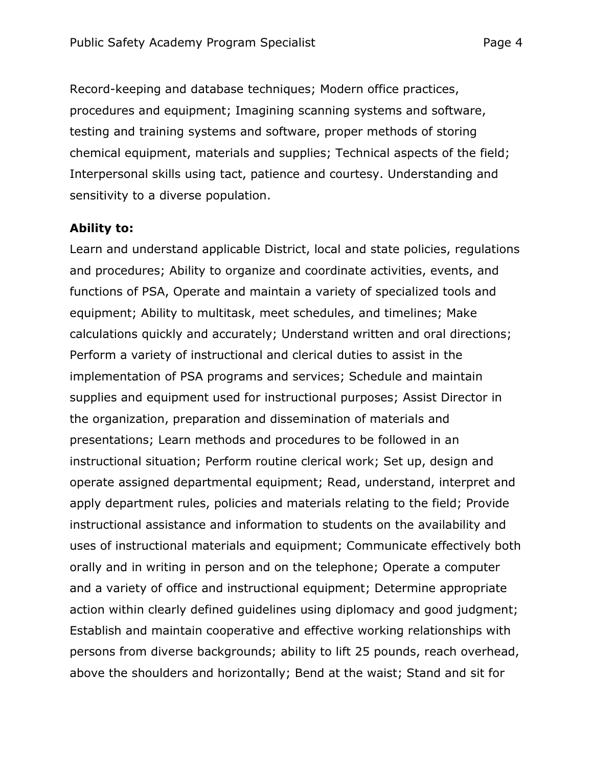Record-keeping and database techniques; Modern office practices, procedures and equipment; Imagining scanning systems and software, testing and training systems and software, proper methods of storing chemical equipment, materials and supplies; Technical aspects of the field; Interpersonal skills using tact, patience and courtesy. Understanding and sensitivity to a diverse population.

#### **Ability to:**

Learn and understand applicable District, local and state policies, regulations and procedures; Ability to organize and coordinate activities, events, and functions of PSA, Operate and maintain a variety of specialized tools and equipment; Ability to multitask, meet schedules, and timelines; Make calculations quickly and accurately; Understand written and oral directions; Perform a variety of instructional and clerical duties to assist in the implementation of PSA programs and services; Schedule and maintain supplies and equipment used for instructional purposes; Assist Director in the organization, preparation and dissemination of materials and presentations; Learn methods and procedures to be followed in an instructional situation; Perform routine clerical work; Set up, design and operate assigned departmental equipment; Read, understand, interpret and apply department rules, policies and materials relating to the field; Provide instructional assistance and information to students on the availability and uses of instructional materials and equipment; Communicate effectively both orally and in writing in person and on the telephone; Operate a computer and a variety of office and instructional equipment; Determine appropriate action within clearly defined guidelines using diplomacy and good judgment; Establish and maintain cooperative and effective working relationships with persons from diverse backgrounds; ability to lift 25 pounds, reach overhead, above the shoulders and horizontally; Bend at the waist; Stand and sit for